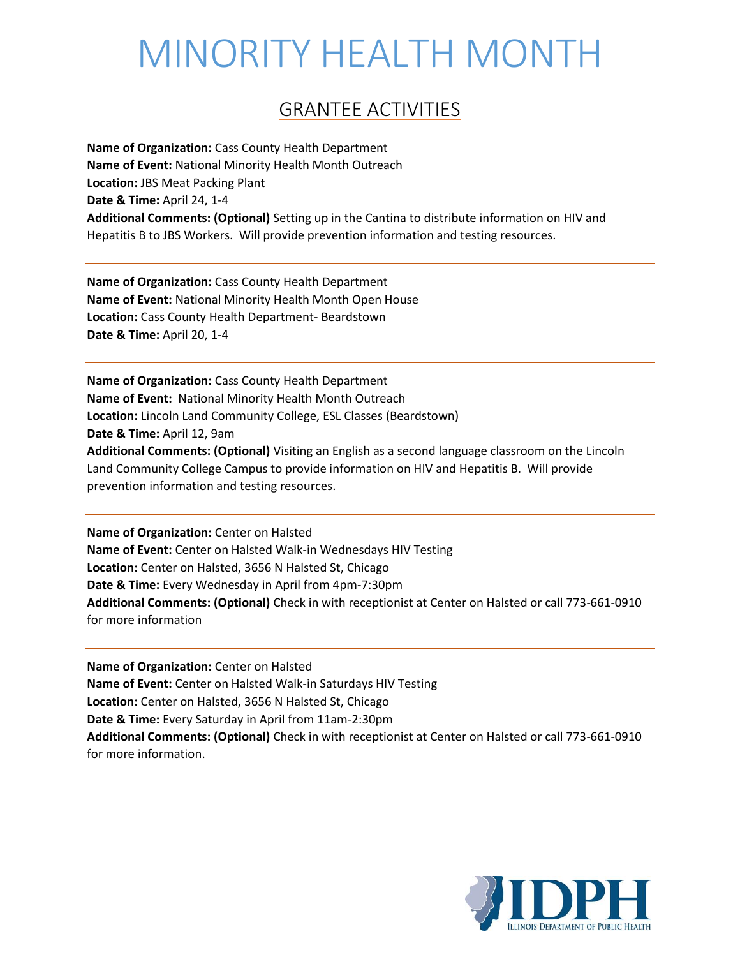#### GRANTEE ACTIVITIES

**Name of Organization:** Cass County Health Department **Name of Event:** National Minority Health Month Outreach **Location:** JBS Meat Packing Plant **Date & Time:** April 24, 1-4 **Additional Comments: (Optional)** Setting up in the Cantina to distribute information on HIV and Hepatitis B to JBS Workers. Will provide prevention information and testing resources.

**Name of Organization:** Cass County Health Department **Name of Event:** National Minority Health Month Open House **Location:** Cass County Health Department- Beardstown **Date & Time:** April 20, 1-4

**Name of Organization:** Cass County Health Department **Name of Event:** National Minority Health Month Outreach **Location:** Lincoln Land Community College, ESL Classes (Beardstown) **Date & Time:** April 12, 9am **Additional Comments: (Optional)** Visiting an English as a second language classroom on the Lincoln Land Community College Campus to provide information on HIV and Hepatitis B. Will provide prevention information and testing resources.

**Name of Organization:** Center on Halsted **Name of Event:** Center on Halsted Walk-in Wednesdays HIV Testing **Location:** Center on Halsted, 3656 N Halsted St, Chicago **Date & Time:** Every Wednesday in April from 4pm-7:30pm **Additional Comments: (Optional)** Check in with receptionist at Center on Halsted or call 773-661-0910 for more information

**Name of Organization:** Center on Halsted **Name of Event:** Center on Halsted Walk-in Saturdays HIV Testing **Location:** Center on Halsted, 3656 N Halsted St, Chicago **Date & Time:** Every Saturday in April from 11am-2:30pm **Additional Comments: (Optional)** Check in with receptionist at Center on Halsted or call 773-661-0910 for more information.

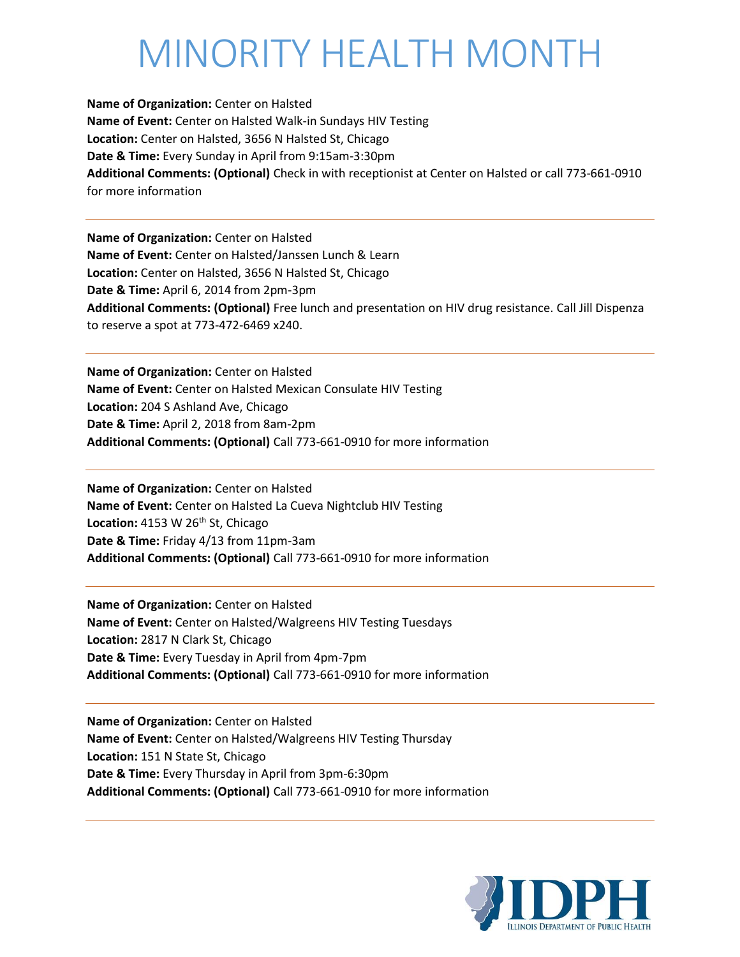**Name of Organization:** Center on Halsted **Name of Event:** Center on Halsted Walk-in Sundays HIV Testing **Location:** Center on Halsted, 3656 N Halsted St, Chicago **Date & Time:** Every Sunday in April from 9:15am-3:30pm **Additional Comments: (Optional)** Check in with receptionist at Center on Halsted or call 773-661-0910 for more information

**Name of Organization:** Center on Halsted **Name of Event:** Center on Halsted/Janssen Lunch & Learn **Location:** Center on Halsted, 3656 N Halsted St, Chicago **Date & Time:** April 6, 2014 from 2pm-3pm **Additional Comments: (Optional)** Free lunch and presentation on HIV drug resistance. Call Jill Dispenza to reserve a spot at 773-472-6469 x240.

**Name of Organization:** Center on Halsted **Name of Event:** Center on Halsted Mexican Consulate HIV Testing **Location:** 204 S Ashland Ave, Chicago **Date & Time:** April 2, 2018 from 8am-2pm **Additional Comments: (Optional)** Call 773-661-0910 for more information

**Name of Organization:** Center on Halsted **Name of Event:** Center on Halsted La Cueva Nightclub HIV Testing Location: 4153 W 26<sup>th</sup> St, Chicago **Date & Time:** Friday 4/13 from 11pm-3am **Additional Comments: (Optional)** Call 773-661-0910 for more information

**Name of Organization:** Center on Halsted **Name of Event:** Center on Halsted/Walgreens HIV Testing Tuesdays **Location:** 2817 N Clark St, Chicago **Date & Time:** Every Tuesday in April from 4pm-7pm **Additional Comments: (Optional)** Call 773-661-0910 for more information

**Name of Organization:** Center on Halsted **Name of Event:** Center on Halsted/Walgreens HIV Testing Thursday **Location:** 151 N State St, Chicago **Date & Time:** Every Thursday in April from 3pm-6:30pm **Additional Comments: (Optional)** Call 773-661-0910 for more information

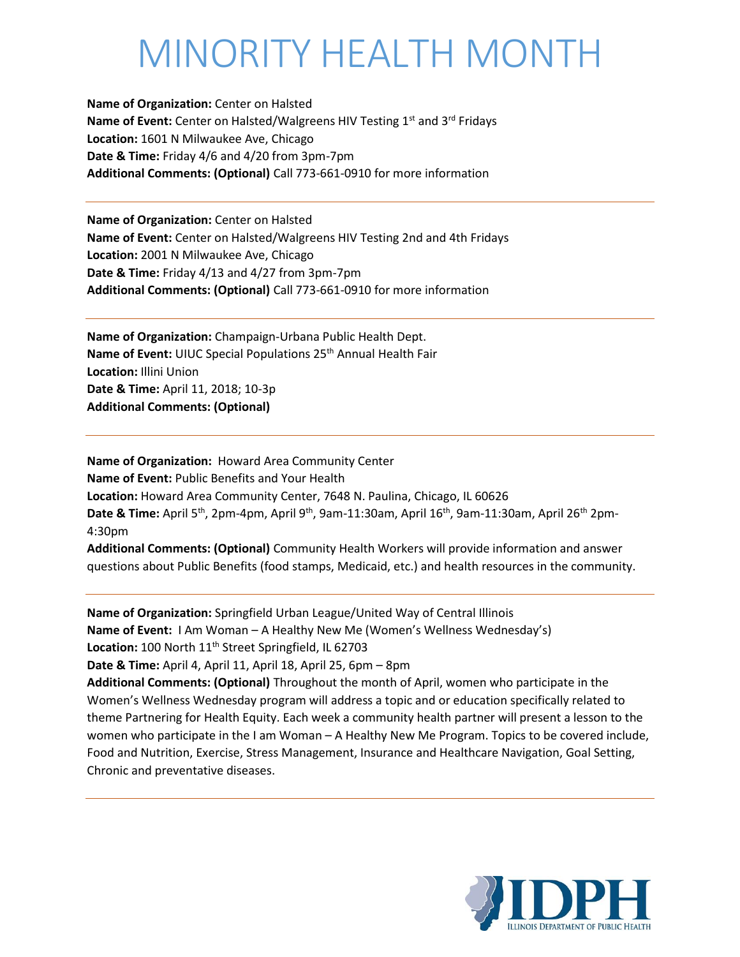**Name of Organization:** Center on Halsted **Name of Event:** Center on Halsted/Walgreens HIV Testing 1<sup>st</sup> and 3<sup>rd</sup> Fridays **Location:** 1601 N Milwaukee Ave, Chicago **Date & Time:** Friday 4/6 and 4/20 from 3pm-7pm **Additional Comments: (Optional)** Call 773-661-0910 for more information

**Name of Organization:** Center on Halsted **Name of Event:** Center on Halsted/Walgreens HIV Testing 2nd and 4th Fridays **Location:** 2001 N Milwaukee Ave, Chicago **Date & Time:** Friday 4/13 and 4/27 from 3pm-7pm **Additional Comments: (Optional)** Call 773-661-0910 for more information

**Name of Organization:** Champaign-Urbana Public Health Dept. Name of Event: UIUC Special Populations 25<sup>th</sup> Annual Health Fair **Location:** Illini Union **Date & Time:** April 11, 2018; 10-3p **Additional Comments: (Optional)** 

**Name of Organization:** Howard Area Community Center **Name of Event:** Public Benefits and Your Health **Location:** Howard Area Community Center, 7648 N. Paulina, Chicago, IL 60626 Date & Time: April 5<sup>th</sup>, 2pm-4pm, April 9<sup>th</sup>, 9am-11:30am, April 16<sup>th</sup>, 9am-11:30am, April 26<sup>th</sup> 2pm-4:30pm **Additional Comments: (Optional)** Community Health Workers will provide information and answer questions about Public Benefits (food stamps, Medicaid, etc.) and health resources in the community.

**Name of Organization:** Springfield Urban League/United Way of Central Illinois **Name of Event:** I Am Woman – A Healthy New Me (Women's Wellness Wednesday's) Location: 100 North 11<sup>th</sup> Street Springfield, IL 62703 **Date & Time:** April 4, April 11, April 18, April 25, 6pm – 8pm **Additional Comments: (Optional)** Throughout the month of April, women who participate in the Women's Wellness Wednesday program will address a topic and or education specifically related to theme Partnering for Health Equity. Each week a community health partner will present a lesson to the women who participate in the I am Woman – A Healthy New Me Program. Topics to be covered include, Food and Nutrition, Exercise, Stress Management, Insurance and Healthcare Navigation, Goal Setting, Chronic and preventative diseases.